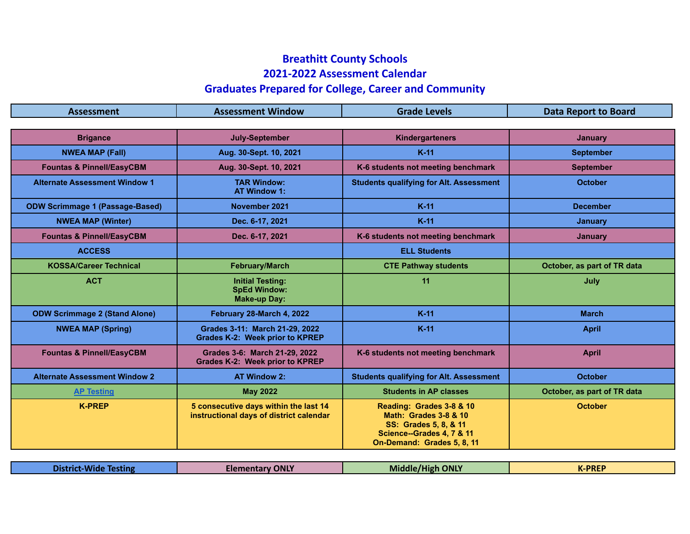## **Breathitt County Schools 2021-2022 Assessment Calendar Graduates Prepared for College, Career and Community**

## **Assessment Assessment Window Grade Levels Data Report to Board Brigance July-September Kindergarteners January NWEA MAP (Fall) Aug. 30-Sept. 10, 2021 K-11 September Fountas & Pinnell/EasyCBM Aug. 30-Sept. 10, 2021 K-6 students not meeting benchmark September Alternate Assessment Window 1 TAR Window: AT Window 1: Students qualifying for Alt. Assessment ODW Scrimmage 1 (Passage-Based) November 2021 K-11 December NWEA MAP (Winter) Dec. 6-17, 2021 K-11 January Fountas & Pinnell/EasyCBM Dec. 6-17, 2021 K-6 students not meeting benchmark January ACCESS ELL Students KOSSA/Career Technical February/March CTE Pathway students October, as part of TR data ACT Initial Testing: SpEd Window: Make-up Day: 11 July ODW Scrimmage 2 (Stand Alone) February 28-March 4, 2022 K-11 March NWEA MAP (Spring) Grades 3-11: March 21-29, 2022 Grades K-2: Week prior to KPREP K-11 April Fountas & Pinnell/EasyCBM Grades 3-6: March 21-29, 2022 Grades K-2: Week prior to KPREP K-6 students not meeting benchmark April April Alternate Assessment Window 2 AT Window 2: Students qualifying for Alt. Assessment October [AP Testing](https://apcentral.collegeboard.org/courses/exam-dates-and-fees/exam-dates-2020) May 2022 Students in AP classes October, as part of TR data K-PREP 5 consecutive days within the last 14 instructional days of district calendar Reading: Grades 3-8 & 10 Math: Grades 3-8 & 10 SS: Grades 5, 8, & 11 Science--Grades 4, 7 & 11 On-Demand: Grades 5, 8, 11 October**

| <b>Testing</b> | District-Wide | <b>Elementary ONLY</b> | /High ONLY<br><b>Middle</b> | <b>K-PREP</b> |
|----------------|---------------|------------------------|-----------------------------|---------------|
|----------------|---------------|------------------------|-----------------------------|---------------|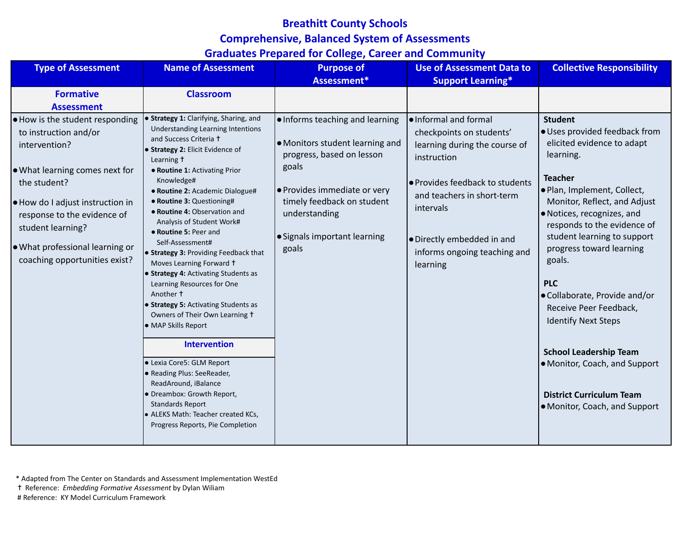## **Breathitt County Schools Comprehensive, Balanced System of Assessments Graduates Prepared for College, Career and Community**

| <b>Type of Assessment</b>                                                                                                                                                                                                                                                                       | <b>Name of Assessment</b>                                                                                                                                                                                                                                                                                                                                                                                                                                                                                                                                                                                                                                                                                                                                                                                                                                                                            | <b>Purpose of</b><br>Assessment*                                                                                                                                                                                                 | <b>Use of Assessment Data to</b><br><b>Support Learning*</b>                                                                                                                                                                                              | <b>Collective Responsibility</b>                                                                                                                                                                                                                                                                                                                                                                                                                                                                                                                           |
|-------------------------------------------------------------------------------------------------------------------------------------------------------------------------------------------------------------------------------------------------------------------------------------------------|------------------------------------------------------------------------------------------------------------------------------------------------------------------------------------------------------------------------------------------------------------------------------------------------------------------------------------------------------------------------------------------------------------------------------------------------------------------------------------------------------------------------------------------------------------------------------------------------------------------------------------------------------------------------------------------------------------------------------------------------------------------------------------------------------------------------------------------------------------------------------------------------------|----------------------------------------------------------------------------------------------------------------------------------------------------------------------------------------------------------------------------------|-----------------------------------------------------------------------------------------------------------------------------------------------------------------------------------------------------------------------------------------------------------|------------------------------------------------------------------------------------------------------------------------------------------------------------------------------------------------------------------------------------------------------------------------------------------------------------------------------------------------------------------------------------------------------------------------------------------------------------------------------------------------------------------------------------------------------------|
| <b>Formative</b><br><b>Assessment</b>                                                                                                                                                                                                                                                           | <b>Classroom</b>                                                                                                                                                                                                                                                                                                                                                                                                                                                                                                                                                                                                                                                                                                                                                                                                                                                                                     |                                                                                                                                                                                                                                  |                                                                                                                                                                                                                                                           |                                                                                                                                                                                                                                                                                                                                                                                                                                                                                                                                                            |
| $\bullet$ How is the student responding<br>to instruction and/or<br>intervention?<br>● What learning comes next for<br>the student?<br>● How do I adjust instruction in<br>response to the evidence of<br>student learning?<br>● What professional learning or<br>coaching opportunities exist? | <b>• Strategy 1: Clarifying, Sharing, and</b><br><b>Understanding Learning Intentions</b><br>and Success Criteria +<br>• Strategy 2: Elicit Evidence of<br>Learning t<br>• Routine 1: Activating Prior<br>Knowledge#<br>· Routine 2: Academic Dialogue#<br>· Routine 3: Questioning#<br>• Routine 4: Observation and<br>Analysis of Student Work#<br>• Routine 5: Peer and<br>Self-Assessment#<br>• Strategy 3: Providing Feedback that<br>Moves Learning Forward +<br>• Strategy 4: Activating Students as<br>Learning Resources for One<br>Another t<br>• Strategy 5: Activating Students as<br>Owners of Their Own Learning +<br>• MAP Skills Report<br><b>Intervention</b><br>• Lexia Core5: GLM Report<br>· Reading Plus: SeeReader,<br>ReadAround, iBalance<br>• Dreambox: Growth Report,<br><b>Standards Report</b><br>• ALEKS Math: Teacher created KCs,<br>Progress Reports, Pie Completion | . Informs teaching and learning<br>• Monitors student learning and<br>progress, based on lesson<br>goals<br>● Provides immediate or very<br>timely feedback on student<br>understanding<br>· Signals important learning<br>goals | l•Informal and formal<br>checkpoints on students'<br>learning during the course of<br>instruction<br>● Provides feedback to students<br>and teachers in short-term<br>intervals<br>• Directly embedded in and<br>informs ongoing teaching and<br>learning | <b>Student</b><br>· Uses provided feedback from<br>elicited evidence to adapt<br>learning.<br><b>Teacher</b><br>. Plan, Implement, Collect,<br>Monitor, Reflect, and Adjust<br>• Notices, recognizes, and<br>responds to the evidence of<br>student learning to support<br>progress toward learning<br>goals.<br><b>PLC</b><br>● Collaborate, Provide and/or<br>Receive Peer Feedback,<br><b>Identify Next Steps</b><br><b>School Leadership Team</b><br>• Monitor, Coach, and Support<br><b>District Curriculum Team</b><br>• Monitor, Coach, and Support |

\* Adapted from The Center on Standards and Assessment Implementation WestEd

✝ Reference: *Embedding Formative Assessment* by Dylan Wiliam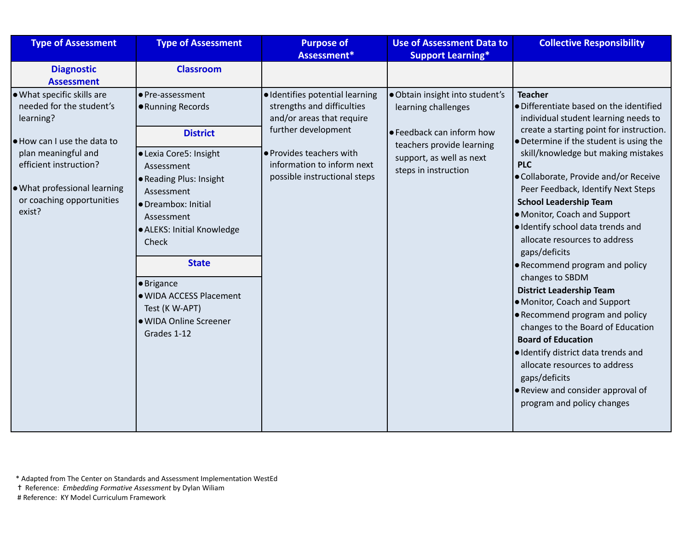| <b>Type of Assessment</b>                                                                                            | <b>Type of Assessment</b>                                                                                                                                                                                                                                                     | <b>Purpose of</b><br>Assessment*                                                                                  | <b>Use of Assessment Data to</b><br><b>Support Learning*</b>                                | <b>Collective Responsibility</b>                                                                                                                                                                                                                                                                                                                                                                                                                                                                                                                                                                                                                                                 |
|----------------------------------------------------------------------------------------------------------------------|-------------------------------------------------------------------------------------------------------------------------------------------------------------------------------------------------------------------------------------------------------------------------------|-------------------------------------------------------------------------------------------------------------------|---------------------------------------------------------------------------------------------|----------------------------------------------------------------------------------------------------------------------------------------------------------------------------------------------------------------------------------------------------------------------------------------------------------------------------------------------------------------------------------------------------------------------------------------------------------------------------------------------------------------------------------------------------------------------------------------------------------------------------------------------------------------------------------|
| <b>Diagnostic</b><br><b>Assessment</b>                                                                               | <b>Classroom</b>                                                                                                                                                                                                                                                              |                                                                                                                   |                                                                                             |                                                                                                                                                                                                                                                                                                                                                                                                                                                                                                                                                                                                                                                                                  |
| . What specific skills are<br>needed for the student's<br>learning?<br>● How can I use the data to                   | ● Pre-assessment<br>● Running Records<br><b>District</b>                                                                                                                                                                                                                      | · Identifies potential learning<br>strengths and difficulties<br>and/or areas that require<br>further development | · Obtain insight into student's<br>learning challenges<br>$\bullet$ Feedback can inform how | <b>Teacher</b><br>· Differentiate based on the identified<br>individual student learning needs to<br>create a starting point for instruction.<br>• Determine if the student is using the                                                                                                                                                                                                                                                                                                                                                                                                                                                                                         |
| plan meaningful and<br>efficient instruction?<br>. What professional learning<br>or coaching opportunities<br>exist? | · Lexia Core5: Insight<br>Assessment<br>• Reading Plus: Insight<br>Assessment<br>· Dreambox: Initial<br>Assessment<br>· ALEKS: Initial Knowledge<br>Check<br><b>State</b><br>· Brigance<br>· WIDA ACCESS Placement<br>Test (K W-APT)<br>· WIDA Online Screener<br>Grades 1-12 | · Provides teachers with<br>information to inform next<br>possible instructional steps                            | teachers provide learning<br>support, as well as next<br>steps in instruction               | skill/knowledge but making mistakes<br><b>PLC</b><br>· Collaborate, Provide and/or Receive<br>Peer Feedback, Identify Next Steps<br><b>School Leadership Team</b><br>• Monitor, Coach and Support<br>· Identify school data trends and<br>allocate resources to address<br>gaps/deficits<br>• Recommend program and policy<br>changes to SBDM<br><b>District Leadership Team</b><br>• Monitor, Coach and Support<br>• Recommend program and policy<br>changes to the Board of Education<br><b>Board of Education</b><br>· Identify district data trends and<br>allocate resources to address<br>gaps/deficits<br>. Review and consider approval of<br>program and policy changes |
|                                                                                                                      |                                                                                                                                                                                                                                                                               |                                                                                                                   |                                                                                             |                                                                                                                                                                                                                                                                                                                                                                                                                                                                                                                                                                                                                                                                                  |

✝ Reference: *Embedding Formative Assessment* by Dylan Wiliam

<sup>\*</sup> Adapted from The Center on Standards and Assessment Implementation WestEd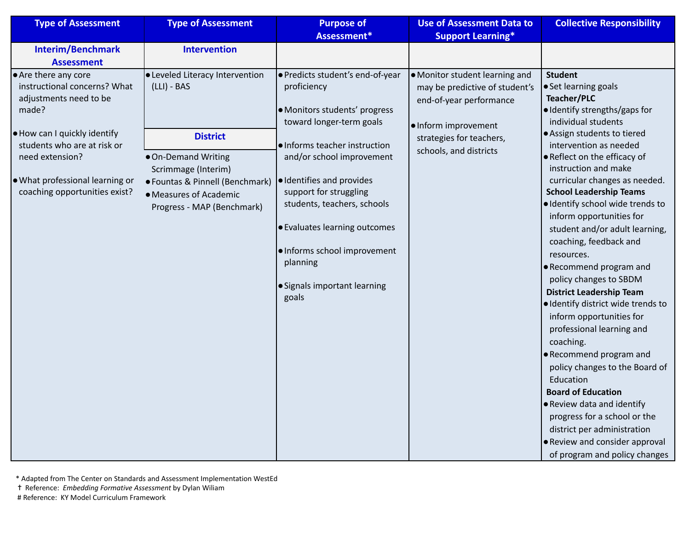| <b>Type of Assessment</b>                                                                                                                                                                                                                     | <b>Type of Assessment</b>                                                                                                                                                                                           | <b>Purpose of</b>                                                                                                                                                                                                                                                                                                                                                                      | <b>Use of Assessment Data to</b>                                                                                                                                          | <b>Collective Responsibility</b>                                                                                                                                                                                                                                                                                                                                                                                                                                                                                                                                                                                                                                                  |
|-----------------------------------------------------------------------------------------------------------------------------------------------------------------------------------------------------------------------------------------------|---------------------------------------------------------------------------------------------------------------------------------------------------------------------------------------------------------------------|----------------------------------------------------------------------------------------------------------------------------------------------------------------------------------------------------------------------------------------------------------------------------------------------------------------------------------------------------------------------------------------|---------------------------------------------------------------------------------------------------------------------------------------------------------------------------|-----------------------------------------------------------------------------------------------------------------------------------------------------------------------------------------------------------------------------------------------------------------------------------------------------------------------------------------------------------------------------------------------------------------------------------------------------------------------------------------------------------------------------------------------------------------------------------------------------------------------------------------------------------------------------------|
|                                                                                                                                                                                                                                               |                                                                                                                                                                                                                     | Assessment*                                                                                                                                                                                                                                                                                                                                                                            | <b>Support Learning*</b>                                                                                                                                                  |                                                                                                                                                                                                                                                                                                                                                                                                                                                                                                                                                                                                                                                                                   |
| <b>Interim/Benchmark</b><br><b>Assessment</b>                                                                                                                                                                                                 | <b>Intervention</b>                                                                                                                                                                                                 |                                                                                                                                                                                                                                                                                                                                                                                        |                                                                                                                                                                           |                                                                                                                                                                                                                                                                                                                                                                                                                                                                                                                                                                                                                                                                                   |
| ● Are there any core<br>instructional concerns? What<br>adjustments need to be<br>made?<br>. How can I quickly identify<br>students who are at risk or<br>need extension?<br>. What professional learning or<br>coaching opportunities exist? | <b>.</b> Leveled Literacy Intervention<br>$(LLI) - BAS$<br><b>District</b><br>· On-Demand Writing<br>Scrimmage (Interim)<br>• Fountas & Pinnell (Benchmark)<br>• Measures of Academic<br>Progress - MAP (Benchmark) | · Predicts student's end-of-year<br>proficiency<br>· Monitors students' progress<br>toward longer-term goals<br>· Informs teacher instruction<br>and/or school improvement<br>· Identifies and provides<br>support for struggling<br>students, teachers, schools<br>• Evaluates learning outcomes<br>· Informs school improvement<br>planning<br>• Signals important learning<br>goals | ● Monitor student learning and<br>may be predictive of student's<br>end-of-year performance<br>. Inform improvement<br>strategies for teachers,<br>schools, and districts | <b>Student</b><br>• Set learning goals<br><b>Teacher/PLC</b><br>· Identify strengths/gaps for<br>individual students<br>· Assign students to tiered<br>intervention as needed<br>• Reflect on the efficacy of<br>instruction and make<br>curricular changes as needed.<br><b>School Leadership Teams</b><br>· Identify school wide trends to<br>inform opportunities for<br>student and/or adult learning,<br>coaching, feedback and<br>resources.<br>• Recommend program and<br>policy changes to SBDM<br><b>District Leadership Team</b><br>· Identify district wide trends to<br>inform opportunities for<br>professional learning and<br>coaching.<br>• Recommend program and |
|                                                                                                                                                                                                                                               |                                                                                                                                                                                                                     |                                                                                                                                                                                                                                                                                                                                                                                        |                                                                                                                                                                           | policy changes to the Board of<br>Education                                                                                                                                                                                                                                                                                                                                                                                                                                                                                                                                                                                                                                       |
|                                                                                                                                                                                                                                               |                                                                                                                                                                                                                     |                                                                                                                                                                                                                                                                                                                                                                                        |                                                                                                                                                                           | <b>Board of Education</b>                                                                                                                                                                                                                                                                                                                                                                                                                                                                                                                                                                                                                                                         |
|                                                                                                                                                                                                                                               |                                                                                                                                                                                                                     |                                                                                                                                                                                                                                                                                                                                                                                        |                                                                                                                                                                           | • Review data and identify                                                                                                                                                                                                                                                                                                                                                                                                                                                                                                                                                                                                                                                        |
|                                                                                                                                                                                                                                               |                                                                                                                                                                                                                     |                                                                                                                                                                                                                                                                                                                                                                                        |                                                                                                                                                                           | progress for a school or the                                                                                                                                                                                                                                                                                                                                                                                                                                                                                                                                                                                                                                                      |
|                                                                                                                                                                                                                                               |                                                                                                                                                                                                                     |                                                                                                                                                                                                                                                                                                                                                                                        |                                                                                                                                                                           | district per administration                                                                                                                                                                                                                                                                                                                                                                                                                                                                                                                                                                                                                                                       |
|                                                                                                                                                                                                                                               |                                                                                                                                                                                                                     |                                                                                                                                                                                                                                                                                                                                                                                        |                                                                                                                                                                           | • Review and consider approval                                                                                                                                                                                                                                                                                                                                                                                                                                                                                                                                                                                                                                                    |
|                                                                                                                                                                                                                                               |                                                                                                                                                                                                                     |                                                                                                                                                                                                                                                                                                                                                                                        |                                                                                                                                                                           | of program and policy changes                                                                                                                                                                                                                                                                                                                                                                                                                                                                                                                                                                                                                                                     |

<sup>\*</sup> Adapted from The Center on Standards and Assessment Implementation WestEd

✝ Reference: *Embedding Formative Assessment* by Dylan Wiliam